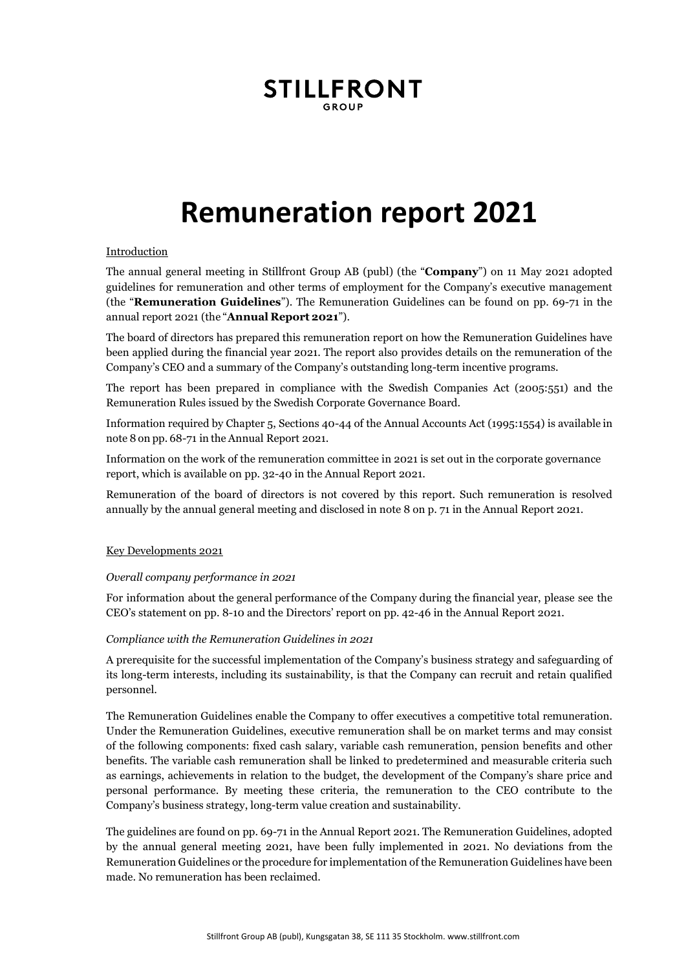# **STILLFRONT**

# **Remuneration report 2021**

## Introduction

The annual general meeting in Stillfront Group AB (publ) (the "**Company**") on 11 May 2021 adopted guidelines for remuneration and other terms of employment for the Company's executive management (the "**Remuneration Guidelines**"). The Remuneration Guidelines can be found on pp. 69-71 in the annual report 2021 (the "**Annual Report 2021**").

The board of directors has prepared this remuneration report on how the Remuneration Guidelines have been applied during the financial year 2021. The report also provides details on the remuneration of the Company's CEO and a summary of the Company's outstanding long-term incentive programs.

The report has been prepared in compliance with the Swedish Companies Act (2005:551) and the Remuneration Rules issued by the Swedish Corporate Governance Board.

Information required by Chapter 5, Sections 40-44 of the Annual Accounts Act (1995:1554) is available in note 8 on pp. 68-71 in the Annual Report 2021.

Information on the work of the remuneration committee in 2021 is set out in the corporate governance report, which is available on pp. 32-40 in the Annual Report 2021.

Remuneration of the board of directors is not covered by this report. Such remuneration is resolved annually by the annual general meeting and disclosed in note 8 on p. 71 in the Annual Report 2021.

#### Key Developments 2021

#### *Overall company performance in 2021*

For information about the general performance of the Company during the financial year, please see the CEO's statement on pp. 8-10 and the Directors' report on pp. 42-46 in the Annual Report 2021.

#### *Compliance with the Remuneration Guidelines in 2021*

A prerequisite for the successful implementation of the Company's business strategy and safeguarding of its long-term interests, including its sustainability, is that the Company can recruit and retain qualified personnel.

The Remuneration Guidelines enable the Company to offer executives a competitive total remuneration. Under the Remuneration Guidelines, executive remuneration shall be on market terms and may consist of the following components: fixed cash salary, variable cash remuneration, pension benefits and other benefits. The variable cash remuneration shall be linked to predetermined and measurable criteria such as earnings, achievements in relation to the budget, the development of the Company's share price and personal performance. By meeting these criteria, the remuneration to the CEO contribute to the Company's business strategy, long-term value creation and sustainability.

The guidelines are found on pp. 69-71 in the Annual Report 2021. The Remuneration Guidelines, adopted by the annual general meeting 2021, have been fully implemented in 2021. No deviations from the Remuneration Guidelines or the procedure for implementation of the Remuneration Guidelines have been made. No remuneration has been reclaimed.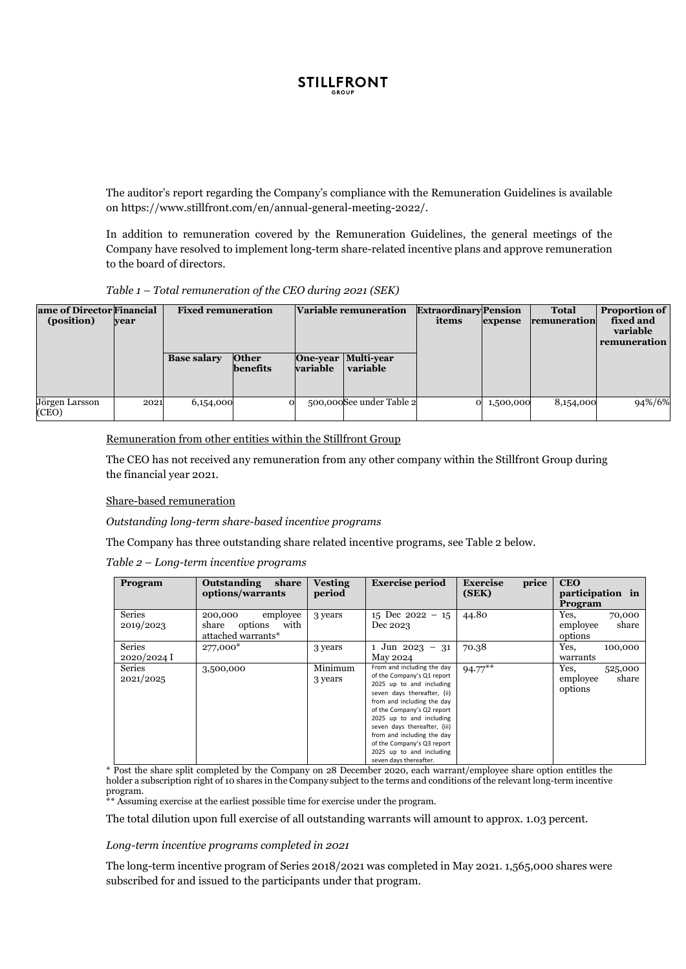

The auditor's report regarding the Company's compliance with the Remuneration Guidelines is available on https://www.stillfront.com/en/annual-general-meeting-2022/.

In addition to remuneration covered by the Remuneration Guidelines, the general meetings of the Company have resolved to implement long-term share-related incentive plans and approve remuneration to the board of directors.

|  | Table 1 - Total remuneration of the CEO during 2021 (SEK) |  |  |  |
|--|-----------------------------------------------------------|--|--|--|
|  |                                                           |  |  |  |

| ame of Director Financial<br>(position)<br>vear |      | <b>Fixed remuneration</b> |                          | <b>Variable remuneration</b> |                                          | <b>Extraordinary</b> Pension<br>items | expense   | <b>Total</b><br>remuneration | <b>Proportion of</b><br>fixed and<br>variable<br>  remuneration |
|-------------------------------------------------|------|---------------------------|--------------------------|------------------------------|------------------------------------------|---------------------------------------|-----------|------------------------------|-----------------------------------------------------------------|
|                                                 |      | <b>Base salary</b>        | <b>Other</b><br>benefits | <b>variable</b>              | <b>One-year Multi-year</b><br>  variable |                                       |           |                              |                                                                 |
| Jörgen Larsson<br>(CEO)                         | 2021 | 6,154,000                 | O                        |                              | 500,000See under Table 2                 | $\Omega$                              | 1,500,000 | 8,154,000                    | 94%/6%                                                          |

#### Remuneration from other entities within the Stillfront Group

The CEO has not received any remuneration from any other company within the Stillfront Group during the financial year 2021.

#### Share-based remuneration

*Outstanding long-term share-based incentive programs*

The Company has three outstanding share related incentive programs, see Table 2 below.

*Table 2 – Long-term incentive programs*

| Program                      | <b>Outstanding</b><br>share<br>options/warrants                       | <b>Vesting</b><br>period | <b>Exercise period</b>                                                                                                                                                                                                                                                                                                                                        | price<br><b>Exercise</b><br>(SEK) | <b>CEO</b><br>participation in<br>Program       |
|------------------------------|-----------------------------------------------------------------------|--------------------------|---------------------------------------------------------------------------------------------------------------------------------------------------------------------------------------------------------------------------------------------------------------------------------------------------------------------------------------------------------------|-----------------------------------|-------------------------------------------------|
| <b>Series</b><br>2019/2023   | employee<br>200,000<br>with<br>share<br>options<br>attached warrants* | 3 years                  | 15 Dec 2022 - 15<br>Dec 2023                                                                                                                                                                                                                                                                                                                                  | 44.80                             | Yes.<br>70,000<br>share<br>employee<br>options  |
| <b>Series</b><br>2020/2024 I | 277,000*                                                              | 3 years                  | 1 Jun 2023 - 31<br>May 2024                                                                                                                                                                                                                                                                                                                                   | 70.38                             | Yes,<br>100,000<br>warrants                     |
| <b>Series</b><br>2021/2025   | 3,500,000                                                             | Minimum<br>3 years       | From and including the day<br>of the Company's Q1 report<br>2025 up to and including<br>seven days thereafter, (ii)<br>from and including the day<br>of the Company's Q2 report<br>2025 up to and including<br>seven days thereafter, (iii)<br>from and including the day<br>of the Company's Q3 report<br>2025 up to and including<br>seven days thereafter. | $94.77***$                        | Yes.<br>525,000<br>share<br>employee<br>options |

For the share split completed by the Company on 28 December 2020, each warrant/employee share option entitles the holder a subscription right of 10 shares in the Company subject to the terms and conditions of the relevant long-term incentive program.

\*\* Assuming exercise at the earliest possible time for exercise under the program.

The total dilution upon full exercise of all outstanding warrants will amount to approx. 1.03 percent.

*Long-term incentive programs completed in 2021*

The long-term incentive program of Series 2018/2021 was completed in May 2021. 1,565,000 shares were subscribed for and issued to the participants under that program.